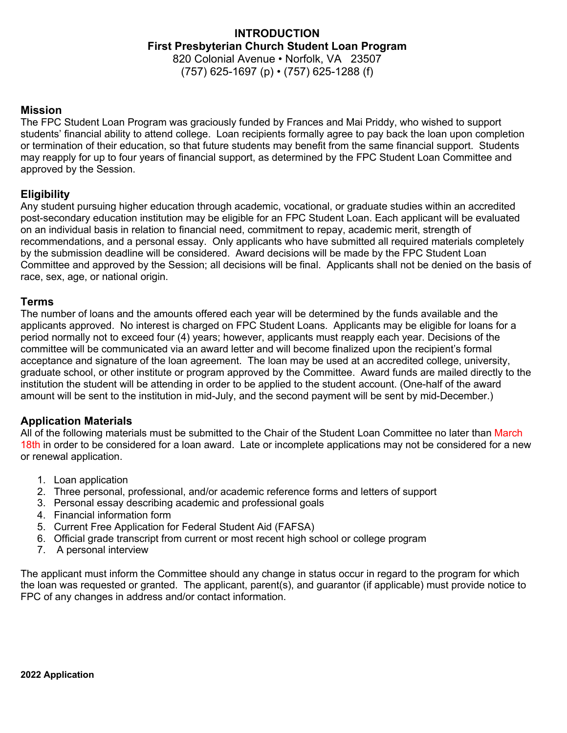## **INTRODUCTION First Presbyterian Church Student Loan Program** 820 Colonial Avenue • Norfolk, VA 23507 (757) 625-1697 (p) • (757) 625-1288 (f)

### **Mission**

The FPC Student Loan Program was graciously funded by Frances and Mai Priddy, who wished to support students' financial ability to attend college. Loan recipients formally agree to pay back the loan upon completion or termination of their education, so that future students may benefit from the same financial support. Students may reapply for up to four years of financial support, as determined by the FPC Student Loan Committee and approved by the Session.

## **Eligibility**

Any student pursuing higher education through academic, vocational, or graduate studies within an accredited post-secondary education institution may be eligible for an FPC Student Loan. Each applicant will be evaluated on an individual basis in relation to financial need, commitment to repay, academic merit, strength of recommendations, and a personal essay. Only applicants who have submitted all required materials completely by the submission deadline will be considered. Award decisions will be made by the FPC Student Loan Committee and approved by the Session; all decisions will be final. Applicants shall not be denied on the basis of race, sex, age, or national origin.

### **Terms**

The number of loans and the amounts offered each year will be determined by the funds available and the applicants approved. No interest is charged on FPC Student Loans. Applicants may be eligible for loans for a period normally not to exceed four (4) years; however, applicants must reapply each year. Decisions of the committee will be communicated via an award letter and will become finalized upon the recipient's formal acceptance and signature of the loan agreement. The loan may be used at an accredited college, university, graduate school, or other institute or program approved by the Committee. Award funds are mailed directly to the institution the student will be attending in order to be applied to the student account. (One-half of the award amount will be sent to the institution in mid-July, and the second payment will be sent by mid-December.)

## **Application Materials**

All of the following materials must be submitted to the Chair of the Student Loan Committee no later than March 18th in order to be considered for a loan award. Late or incomplete applications may not be considered for a new or renewal application.

- 1. Loan application
- 2. Three personal, professional, and/or academic reference forms and letters of support
- 3. Personal essay describing academic and professional goals
- 4. Financial information form
- 5. Current Free Application for Federal Student Aid (FAFSA)
- 6. Official grade transcript from current or most recent high school or college program
- 7. A personal interview

The applicant must inform the Committee should any change in status occur in regard to the program for which the loan was requested or granted. The applicant, parent(s), and guarantor (if applicable) must provide notice to FPC of any changes in address and/or contact information.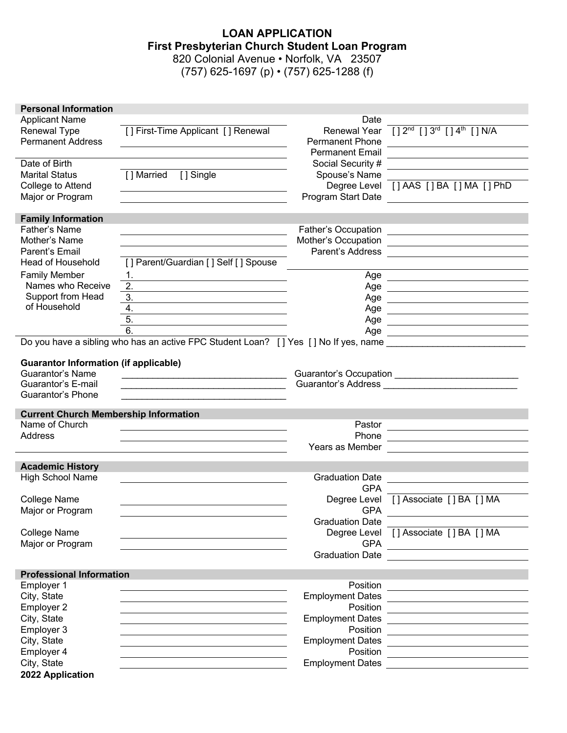## **LOAN APPLICATION First Presbyterian Church Student Loan Program** 820 Colonial Avenue • Norfolk, VA 23507

(757) 625-1697 (p)  $\cdot$  (757) 625-1288 (f)

| <b>Personal Information</b>                  |                                                                                                                                                                                                                               |                         |                                                                                                                                                                                                                                      |
|----------------------------------------------|-------------------------------------------------------------------------------------------------------------------------------------------------------------------------------------------------------------------------------|-------------------------|--------------------------------------------------------------------------------------------------------------------------------------------------------------------------------------------------------------------------------------|
| <b>Applicant Name</b>                        |                                                                                                                                                                                                                               | Date                    |                                                                                                                                                                                                                                      |
| Renewal Type                                 | [] First-Time Applicant [] Renewal                                                                                                                                                                                            | Renewal Year            | $[ ] 2nd [ ] 3rd [ ] 4th [ ] N/A$                                                                                                                                                                                                    |
| <b>Permanent Address</b>                     |                                                                                                                                                                                                                               | <b>Permanent Phone</b>  |                                                                                                                                                                                                                                      |
|                                              |                                                                                                                                                                                                                               | <b>Permanent Email</b>  |                                                                                                                                                                                                                                      |
| Date of Birth                                |                                                                                                                                                                                                                               | Social Security #       |                                                                                                                                                                                                                                      |
| <b>Marital Status</b>                        | [] Single<br>[ ] Married                                                                                                                                                                                                      | Spouse's Name           |                                                                                                                                                                                                                                      |
| College to Attend                            |                                                                                                                                                                                                                               |                         | Degree Level [] AAS [] BA [] MA [] PhD                                                                                                                                                                                               |
| Major or Program                             |                                                                                                                                                                                                                               | Program Start Date      | <u> 1989 - Jan Stern Stern Stern Stern Stern Stern Stern Stern Stern Stern Stern Stern Stern Stern Stern Stern St</u>                                                                                                                |
|                                              |                                                                                                                                                                                                                               |                         |                                                                                                                                                                                                                                      |
| <b>Family Information</b>                    |                                                                                                                                                                                                                               |                         |                                                                                                                                                                                                                                      |
| <b>Father's Name</b>                         |                                                                                                                                                                                                                               | Father's Occupation     | <u> 1989 - Johann Barbara, martin amerikan basar dan basa dan basa dan basa dalam basa dalam basa dalam basa dala</u>                                                                                                                |
| Mother's Name                                |                                                                                                                                                                                                                               | Mother's Occupation     | <u> 1989 - Andrea Station, amerikansk politik (</u>                                                                                                                                                                                  |
| Parent's Email                               |                                                                                                                                                                                                                               | Parent's Address        | <u>and the state of the state of the state of the state of the state of the state of the state of the state of the state of the state of the state of the state of the state of the state of the state of the state of the state</u> |
| <b>Head of Household</b>                     | [] Parent/Guardian [] Self [] Spouse                                                                                                                                                                                          |                         |                                                                                                                                                                                                                                      |
| <b>Family Member</b>                         |                                                                                                                                                                                                                               |                         |                                                                                                                                                                                                                                      |
| Names who Receive                            |                                                                                                                                                                                                                               |                         |                                                                                                                                                                                                                                      |
|                                              | 2.                                                                                                                                                                                                                            | Age                     |                                                                                                                                                                                                                                      |
| Support from Head<br>of Household            | 3.                                                                                                                                                                                                                            | Age                     |                                                                                                                                                                                                                                      |
|                                              | 4.                                                                                                                                                                                                                            | Age                     |                                                                                                                                                                                                                                      |
|                                              | 5.                                                                                                                                                                                                                            | Age                     |                                                                                                                                                                                                                                      |
|                                              | 6.                                                                                                                                                                                                                            | Age                     |                                                                                                                                                                                                                                      |
|                                              | Do you have a sibling who has an active FPC Student Loan? [] Yes [] No If yes, name __________________________                                                                                                                |                         |                                                                                                                                                                                                                                      |
|                                              |                                                                                                                                                                                                                               |                         |                                                                                                                                                                                                                                      |
| <b>Guarantor Information (if applicable)</b> |                                                                                                                                                                                                                               |                         |                                                                                                                                                                                                                                      |
| <b>Guarantor's Name</b>                      |                                                                                                                                                                                                                               |                         |                                                                                                                                                                                                                                      |
| Guarantor's E-mail                           | the control of the control of the control of the control of the control of the control of the control of the control of the control of the control of the control of the control of the control of the control of the control |                         | Guarantor's Address <b>Contract Contract Contract Contract Contract Contract Contract Contract Contract Contract Contract Contract Contract Contract Contract Contract Contract Contract Contract Contract Contract Contract Con</b> |
| <b>Guarantor's Phone</b>                     |                                                                                                                                                                                                                               |                         |                                                                                                                                                                                                                                      |
| <b>Current Church Membership Information</b> |                                                                                                                                                                                                                               |                         |                                                                                                                                                                                                                                      |
| Name of Church                               |                                                                                                                                                                                                                               | Pastor                  |                                                                                                                                                                                                                                      |
| Address                                      |                                                                                                                                                                                                                               | Phone                   |                                                                                                                                                                                                                                      |
|                                              |                                                                                                                                                                                                                               |                         |                                                                                                                                                                                                                                      |
|                                              |                                                                                                                                                                                                                               | Years as Member         |                                                                                                                                                                                                                                      |
| <b>Academic History</b>                      |                                                                                                                                                                                                                               |                         |                                                                                                                                                                                                                                      |
| High School Name                             |                                                                                                                                                                                                                               | <b>Graduation Date</b>  |                                                                                                                                                                                                                                      |
|                                              |                                                                                                                                                                                                                               | <b>GPA</b>              |                                                                                                                                                                                                                                      |
| <b>College Name</b>                          |                                                                                                                                                                                                                               |                         | Degree Level [] Associate [] BA [] MA                                                                                                                                                                                                |
| Major or Program                             |                                                                                                                                                                                                                               |                         |                                                                                                                                                                                                                                      |
|                                              |                                                                                                                                                                                                                               | <b>GPA</b>              |                                                                                                                                                                                                                                      |
|                                              |                                                                                                                                                                                                                               | <b>Graduation Date</b>  |                                                                                                                                                                                                                                      |
| <b>College Name</b>                          |                                                                                                                                                                                                                               |                         | Degree Level [] Associate [] BA [] MA                                                                                                                                                                                                |
| Major or Program                             |                                                                                                                                                                                                                               | <b>GPA</b>              |                                                                                                                                                                                                                                      |
|                                              |                                                                                                                                                                                                                               | <b>Graduation Date</b>  |                                                                                                                                                                                                                                      |
|                                              |                                                                                                                                                                                                                               |                         |                                                                                                                                                                                                                                      |
| <b>Professional Information</b>              |                                                                                                                                                                                                                               |                         |                                                                                                                                                                                                                                      |
| Employer 1                                   |                                                                                                                                                                                                                               | Position                |                                                                                                                                                                                                                                      |
| City, State                                  |                                                                                                                                                                                                                               | <b>Employment Dates</b> |                                                                                                                                                                                                                                      |
| Employer 2                                   |                                                                                                                                                                                                                               | Position                |                                                                                                                                                                                                                                      |
| City, State                                  |                                                                                                                                                                                                                               | <b>Employment Dates</b> |                                                                                                                                                                                                                                      |
| Employer 3                                   |                                                                                                                                                                                                                               | Position                |                                                                                                                                                                                                                                      |
| City, State                                  |                                                                                                                                                                                                                               | <b>Employment Dates</b> |                                                                                                                                                                                                                                      |
| Employer 4                                   |                                                                                                                                                                                                                               | Position                |                                                                                                                                                                                                                                      |
| City, State                                  |                                                                                                                                                                                                                               | <b>Employment Dates</b> |                                                                                                                                                                                                                                      |

**2022 Application**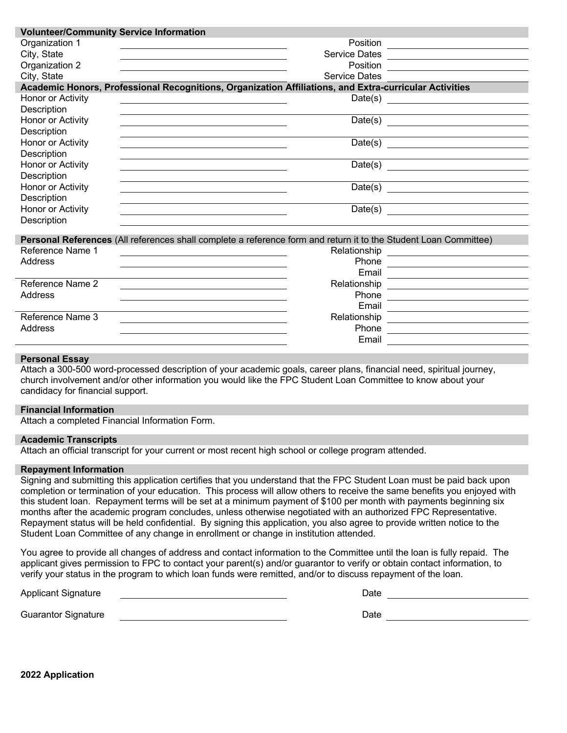| <b>Volunteer/Community Service Information</b>                                           |                                                                                                                                                                                                                                       |  |
|------------------------------------------------------------------------------------------|---------------------------------------------------------------------------------------------------------------------------------------------------------------------------------------------------------------------------------------|--|
| Organization 1                                                                           |                                                                                                                                                                                                                                       |  |
| City, State                                                                              | Service Dates<br><u> Contract and Contract and Contract and Contract and Contract and Contract and Contract and Contract and Contract and Contract and Contract and Contract and Contract and Contract and Contract and Contract </u> |  |
| Organization 2                                                                           | Position <u>________________________________</u>                                                                                                                                                                                      |  |
| City, State                                                                              | <b>Service Dates</b>                                                                                                                                                                                                                  |  |
|                                                                                          | Academic Honors, Professional Recognitions, Organization Affiliations, and Extra-curricular Activities                                                                                                                                |  |
| Honor or Activity<br><u> 1989 - Johann Stein, mars an deus Amerikaansk kommunister (</u> | Date(s) $\overline{\qquad \qquad }$                                                                                                                                                                                                   |  |
| Description                                                                              |                                                                                                                                                                                                                                       |  |
| Honor or Activity                                                                        |                                                                                                                                                                                                                                       |  |
| Description                                                                              |                                                                                                                                                                                                                                       |  |
| Honor or Activity                                                                        | Date(s)                                                                                                                                                                                                                               |  |
| Description                                                                              |                                                                                                                                                                                                                                       |  |
| Honor or Activity                                                                        |                                                                                                                                                                                                                                       |  |
| Description                                                                              |                                                                                                                                                                                                                                       |  |
| Honor or Activity                                                                        |                                                                                                                                                                                                                                       |  |
| Description                                                                              |                                                                                                                                                                                                                                       |  |
| Honor or Activity                                                                        |                                                                                                                                                                                                                                       |  |
| Description                                                                              |                                                                                                                                                                                                                                       |  |
|                                                                                          |                                                                                                                                                                                                                                       |  |
| Reference Name 1                                                                         | Personal References (All references shall complete a reference form and return it to the Student Loan Committee)                                                                                                                      |  |
| Address                                                                                  |                                                                                                                                                                                                                                       |  |
|                                                                                          | Phone <u>___________________________</u>                                                                                                                                                                                              |  |
| Reference Name 2                                                                         |                                                                                                                                                                                                                                       |  |
| Address                                                                                  | Phone                                                                                                                                                                                                                                 |  |
|                                                                                          |                                                                                                                                                                                                                                       |  |
| Reference Name 3                                                                         |                                                                                                                                                                                                                                       |  |
| Address                                                                                  | Phone                                                                                                                                                                                                                                 |  |
|                                                                                          | Email                                                                                                                                                                                                                                 |  |
|                                                                                          |                                                                                                                                                                                                                                       |  |

#### **Personal Essay**

Attach a 300-500 word-processed description of your academic goals, career plans, financial need, spiritual journey, church involvement and/or other information you would like the FPC Student Loan Committee to know about your candidacy for financial support.

#### **Financial Information**

Attach a completed Financial Information Form.

#### **Academic Transcripts**

Attach an official transcript for your current or most recent high school or college program attended.

#### **Repayment Information**

Signing and submitting this application certifies that you understand that the FPC Student Loan must be paid back upon completion or termination of your education. This process will allow others to receive the same benefits you enjoyed with this student loan. Repayment terms will be set at a minimum payment of \$100 per month with payments beginning six months after the academic program concludes, unless otherwise negotiated with an authorized FPC Representative. Repayment status will be held confidential. By signing this application, you also agree to provide written notice to the Student Loan Committee of any change in enrollment or change in institution attended.

You agree to provide all changes of address and contact information to the Committee until the loan is fully repaid. The applicant gives permission to FPC to contact your parent(s) and/or guarantor to verify or obtain contact information, to verify your status in the program to which loan funds were remitted, and/or to discuss repayment of the loan.

Applicant Signature Date of the Date of the Date of the Date of the Date of the Date of the Date of the Date o

| ate |  |  |
|-----|--|--|
|     |  |  |

Guarantor Signature **Date** 

**2022 Application**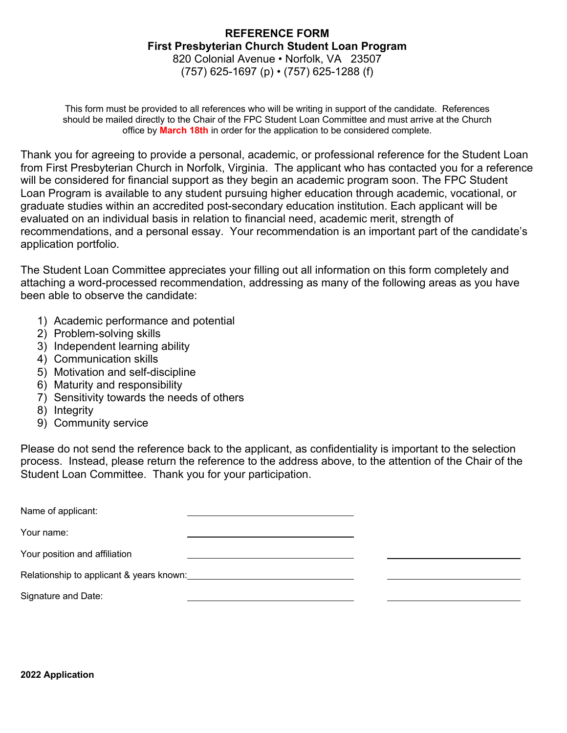# **REFERENCE FORM First Presbyterian Church Student Loan Program** 820 Colonial Avenue • Norfolk, VA 23507

(757) 625-1697 (p) • (757) 625-1288 (f)

This form must be provided to all references who will be writing in support of the candidate. References should be mailed directly to the Chair of the FPC Student Loan Committee and must arrive at the Church office by **March 18th** in order for the application to be considered complete.

Thank you for agreeing to provide a personal, academic, or professional reference for the Student Loan from First Presbyterian Church in Norfolk, Virginia. The applicant who has contacted you for a reference will be considered for financial support as they begin an academic program soon. The FPC Student Loan Program is available to any student pursuing higher education through academic, vocational, or graduate studies within an accredited post-secondary education institution. Each applicant will be evaluated on an individual basis in relation to financial need, academic merit, strength of recommendations, and a personal essay. Your recommendation is an important part of the candidate's application portfolio.

The Student Loan Committee appreciates your filling out all information on this form completely and attaching a word-processed recommendation, addressing as many of the following areas as you have been able to observe the candidate:

- 1) Academic performance and potential
- 2) Problem-solving skills
- 3) Independent learning ability
- 4) Communication skills
- 5) Motivation and self-discipline
- 6) Maturity and responsibility
- 7) Sensitivity towards the needs of others
- 8) Integrity
- 9) Community service

Please do not send the reference back to the applicant, as confidentiality is important to the selection process. Instead, please return the reference to the address above, to the attention of the Chair of the Student Loan Committee. Thank you for your participation.

| Name of applicant:                       |  |
|------------------------------------------|--|
| Your name:                               |  |
| Your position and affiliation            |  |
| Relationship to applicant & years known: |  |
| Signature and Date:                      |  |